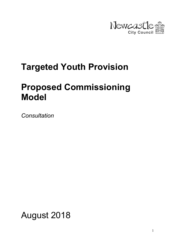

# Targeted Youth Provision

## Proposed Commissioning Model

**Consultation** 

August 2018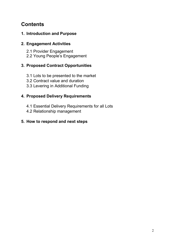## **Contents**

## 1. Introduction and Purpose

## 2. Engagement Activities

- 2.1 Provider Engagement
- 2.2 Young People's Engagement

## 3. Proposed Contract Opportunities

- 3.1 Lots to be presented to the market
- 3.2 Contract value and duration
- 3.3 Levering in Additional Funding

## 4. Proposed Delivery Requirements

- 4.1 Essential Delivery Requirements for all Lots
- 4.2 Relationship management

### 5. How to respond and next steps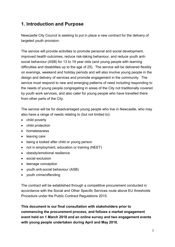## 1. Introduction and Purpose

Newcastle City Council is seeking to put in place a new contract for the delivery of targeted youth provision.

The service will provide activities to promote personal and social development, improved health outcomes, reduce risk-taking behaviour, and reduce youth antisocial behaviour (ASB) for 13 to 19 year olds (and young people with learning difficulties and disabilities up to the age of 25). The service will be delivered flexibly on evenings, weekend and holiday periods and will also involve young people in the design and delivery of services and promote engagement in the community. The service must respond to new and emerging patterns of need including responding to the needs of young people congregating in areas of the City not traditionally covered by youth work services, and also cater for young people who have travelled there from other parts of the City.

The service will be for disadvantaged young people who live in Newcastle, who may also have a range of needs relating to (but not limited to):

- child poverty
- child protection
- homelessness
- leaving care
- being a looked after child or young person
- not in employment, education or training (NEET)
- obesity/emotional resilience
- social exclusion
- teenage conception
- youth anti-social behaviour (ASB)
- youth crime/offending

The contract will be established through a competitive procurement conducted in accordance with the Social and Other Specific Services route above EU thresholds Procedure under the Public Contract Regulations 2015.

This document is our final consultation with stakeholders prior to commencing the procurement process, and follows a market engagement event held on 1 March 2018 and an online survey and two engagement events with young people undertaken during April and May 2018.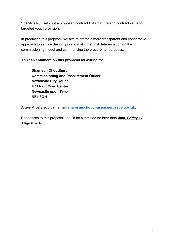Specifically, it sets out a proposed contract Lot structure and contract value for targeted youth provision.

In producing this proposal, we aim to create a more transparent and cooperative approach to service design, prior to making a final determination on the commissioning model and commencing the procurement process.

#### You can comment on this proposal by writing to:

Shamsun Choudhury Commissioning and Procurement Officer Newcastle City Council 4 th Floor, Civic Centre Newcastle upon Tyne NE1 8QH

Alternatively you can email shamsun.choudhury@newcastle.gov.uk.

Responses to this proposal should be submitted no later than 4pm, Friday 17 August 2018.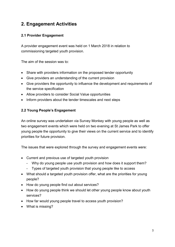## 2. Engagement Activities

#### 2.1 Provider Engagement

A provider engagement event was held on 1 March 2018 in relation to commissioning targeted youth provision.

The aim of the session was to:

- Share with providers information on the proposed tender opportunity
- Give providers an understanding of the current provision
- Give providers the opportunity to influence the development and requirements of the service specification
- Allow providers to consider Social Value opportunities
- Inform providers about the tender timescales and next steps

#### 2.2 Young People's Engagement

An online survey was undertaken via Survey Monkey with young people as well as two engagement events which were held on two evening at St James Park to offer young people the opportunity to give their views on the current service and to identify priorities for future provision.

The issues that were explored through the survey and engagement events were:

- Current and previous use of targeted youth provision
	- Why do young people use youth provision and how does it support them?
	- Types of targeted youth provision that young people like to access
- What should a targeted youth provision offer, what are the priorities for young people?
- How do young people find out about services?
- How do young people think we should let other young people know about youth services?
- How far would young people travel to access youth provision?
- What is missing?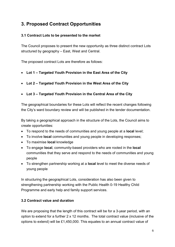## 3. Proposed Contract Opportunities

#### 3.1 Contract Lots to be presented to the market

The Council proposes to present the new opportunity as three distinct contract Lots structured by geography – East, West and Central.

The proposed contract Lots are therefore as follows:

- Lot 1 Targeted Youth Provision in the East Area of the City
- Lot 2 Targeted Youth Provision in the West Area of the City
- Lot 3 Targeted Youth Provision in the Central Area of the City

The geographical boundaries for these Lots will reflect the recent changes following the City's ward boundary review and will be published in the tender documentation.

By taking a geographical approach in the structure of the Lots, the Council aims to create opportunities:

- To respond to the needs of communities and young people at a **local** level;
- To involve **local** communities and young people in developing responses;
- To maximise **local** knowledge
- To engage **local**, community-based providers who are rooted in the **local** communities that they serve and respond to the needs of communities and young people
- To strengthen partnership working at a **local** level to meet the diverse needs of young people

In structuring the geographical Lots, consideration has also been given to strengthening partnership working with the Public Health 0-19 Healthy Child Programme and early help and family support services.

#### 3.2 Contract value and duration

We are proposing that the length of this contract will be for a 3-year period, with an option to extend for a further 2 x 12 months. The total contract value (inclusive of the options to extend) will be £1,450,000. This equates to an annual contract value of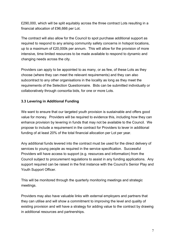£290,000, which will be split equitably across the three contract Lots resulting in a financial allocation of £96,666 per Lot.

The contract will also allow for the Council to spot purchase additional support as required to respond to any arising community safety concerns in hotspot locations, up to a maximum of £20,000k per annum. This will allow for the provision of more intensive, time limited resources to be made available to respond to dynamic and changing needs across the city.

Providers can apply to be appointed to as many, or as few, of these Lots as they choose (where they can meet the relevant requirements) and they can also subcontract to any other organisations in the locality as long as they meet the requirements of the Selection Questionnaire. Bids can be submitted individually or collaboratively through consortia bids, for one or more Lots.

#### 3.3 Levering in Additional Funding

We want to ensure that our targeted youth provision is sustainable and offers good value for money. Providers will be required to evidence this, including how they can enhance provision by levering in funds that may not be available to the Council. We propose to include a requirement in the contract for Providers to lever in additional funding of at least 20% of the total financial allocation per Lot per year.

Any additional funds levered into the contract must be used for the direct delivery of services to young people as required in the service specification. Successful Providers will have access to support (e.g. resources and information) from the Council subject to procurement regulations to assist in any funding applications. Any support required can be raised in the first instance with the Council's Senior Play and Youth Support Officer.

This will be monitored through the quarterly monitoring meetings and strategic meetings.

Providers may also have valuable links with external employers and partners that they can utilise and will show a commitment to improving the level and quality of existing provision and will have a strategy for adding value to the contract by drawing in additional resources and partnerships.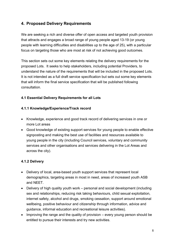### 4. Proposed Delivery Requirements

We are seeking a rich and diverse offer of open access and targeted youth provision that attracts and engages a broad range of young people aged 13-19 (or young people with learning difficulties and disabilities up to the age of 25), with a particular focus on targeting those who are most at risk of not achieving good outcomes.

This section sets out some key elements relating the delivery requirements for the proposed Lots. It seeks to help stakeholders, including potential Providers, to understand the nature of the requirements that will be included in the proposed Lots. It is not intended as a full draft service specification but sets out some key elements that will inform the final service specification that will be published following consultation.

#### 4.1 Essential Delivery Requirements for all Lots

#### 4.1.1 Knowledge/Experience/Track record

- Knowledge, experience and good track record of delivering services in one or more Lot areas
- Good knowledge of existing support services for young people to enable effective signposting and making the best use of facilities and resources available to young people in the city (including Council services, voluntary and community services and other organisations and services delivering in the Lot Areas and across the city).

#### 4.1.2 Delivery

- Delivery of local, area-based youth support services that represent local demographics, targeting areas in most in need, areas of increased youth ASB and NEET.
- Delivery of high quality youth work personal and social development (including sex and relationships, reducing risk taking behaviours, child sexual exploitation, internet safety, alcohol and drugs, smoking cessation, support around emotional wellbeing, positive behaviour and citizenship through information, advice and guidance, informal education and recreational leisure activities).
- $\bullet$  Improving the range and the quality of provision every young person should be entitled to pursue their interests and try new activities.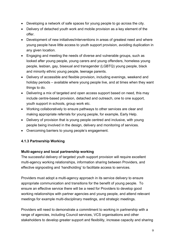- Developing a network of safe spaces for young people to go across the city.
- Delivery of detached youth work and mobile provision as a key element of the offer.
- Development of new initiatives/interventions in areas of greatest need and where young people have little access to youth support provision, avoiding duplication in any given location.
- Engaging and meeting the needs of diverse and vulnerable groups, such as looked after young people, young carers and young offenders, homeless young people, lesbian, gay, bisexual and transgender (LGBTQ) young people, black and minority ethnic young people, teenage parents.
- Delivery of accessible and flexible provision, including evenings, weekend and holiday periods – available where young people live, and at times when they want things to do.
- Delivering a mix of targeted and open access support based on need, this may include centre-based provision, detached and outreach, one to one support, youth support in schools, group work etc.
- Working collaboratively to ensure pathways to other services are clear and making appropriate referrals for young people, for example, Early Help.
- Delivery of provision that is young people centred and inclusive, with young people being involved in the design, delivery and monitoring of services.
- Overcoming barriers to young people's engagement.

#### 4.1.3 Partnership Working

#### Multi-agency and local partnership working

The successful delivery of targeted youth support provision will require excellent multi-agency working relationships, information sharing between Providers, and effective signposting and 'handholding' to facilitate access to services.

Providers must adopt a multi-agency approach in its service delivery to ensure appropriate communication and transitions for the benefit of young people. To ensure an effective service there will be a need for Providers to develop good working relationships with partner agencies and young people, and attend relevant meetings for example multi-disciplinary meetings, and strategic meetings.

Providers will need to demonstrate a commitment to working in partnership with a range of agencies, including Council services, VCS organisations and other stakeholders to develop greater support and flexibility, increase capacity and sharing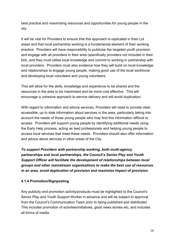best practice and maximising resources and opportunities for young people in the city.

It will be vital for Providers to ensure that this approach is replicated in their Lot areas and that local partnership working is a fundamental element of their working practice. Providers will have responsibility to publicise the targeted youth provision and engage with all providers in their area (specifically providers not included in their bid), and they must utilise local knowledge and commit to working in partnership with local providers. Providers must also evidence how they will build on local knowledge and relationships to engage young people, making good use of the local workforce and developing local volunteers and young volunteers.

This will allow for the skills, knowledge and experience to be shared and the resources in the area to be maximised and be more cost effective. This will encourage a cohesive approach to service delivery and will avoid duplication.

With regard to information and advice services, Providers will need to provide clear, accessible, up to date information about services in the area, particularly taking into account the needs of those young people who may find this information difficult to access. Providers will support young people by identifying additional needs using the Early Help process, acting as lead professionals and helping young people to access local services that meet these needs. Providers should also offer information and advice about services in other areas of the City.

To support Providers with partnership working, both multi-agency partnerships and local partnerships, the Council's Senior Play and Youth Support Officer will facilitate the development of relationships between local groups and other mainstream organisations to make the best use of resources in an area, avoid duplication of provision and maximise impact of provision.

#### 4.1.4 Promotion/Signposting

Any publicity and promotion activity/products must be highlighted to the Council's Senior Play and Youth Support Worker in advance and will be subject to approval from the Council's Communication Team prior to being published and distributed. This includes promotion of activities/initiatives, good news stories etc, and includes all forms of media.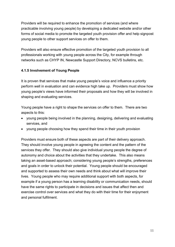Providers will be required to enhance the promotion of services (and where practicable involving young people) by developing a dedicated website and/or other forms of social media to promote the targeted youth provision offer and help signpost young people to other support services on offer to them.

Providers will also ensure effective promotion of the targeted youth provision to all professionals working with young people across the City, for example through networks such as CHYP IN, Newcastle Support Directory, NCVS bulletins, etc.

#### 4.1.5 Involvement of Young People

It is proven that services that make young people's voice and influence a priority perform well in evaluation and can evidence high take up. Providers must show how young people's views have informed their proposals and how they will be involved in shaping and evaluating services.

Young people have a right to shape the services on offer to them. There are two aspects to this:

- young people being involved in the planning, designing, delivering and evaluating services, and
- young people choosing how they spend their time in their youth provision

Providers must ensure both of these aspects are part of their delivery approach. They should involve young people in agreeing the content and the pattern of the services they offer. They should also give individual young people the degree of autonomy and choice about the activities that they undertake. This also means taking an asset-based approach; considering young people's strengths, preferences and goals in order to unlock their potential. Young people should be encouraged and supported to assess their own needs and think about what will improve their lives. Young people who may require additional support with both aspects, for example if a young person has a learning disability or communication needs, should have the same rights to participate in decisions and issues that affect then and exercise control over services and what they do with their time for their enjoyment and personal fulfilment.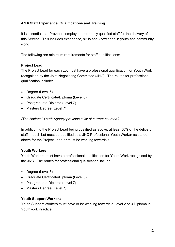#### 4.1.6 Staff Experience, Qualifications and Training

It is essential that Providers employ appropriately qualified staff for the delivery of this Service. This includes experience, skills and knowledge in youth and community work.

The following are minimum requirements for staff qualifications:

#### Project Lead

The Project Lead for each Lot must have a professional qualification for Youth Work recognised by the Joint Negotiating Committee (JNC). The routes for professional qualification include:

- Degree (Level 6)
- Graduate Certificate/Diploma (Level 6)
- Postgraduate Diploma (Level 7)
- Masters Degree (Level 7)

(The National Youth Agency provides a list of current courses.)

In addition to the Project Lead being qualified as above, at least 50% of the delivery staff in each Lot must be qualified as a JNC Professional Youth Worker as stated above for the Project Lead or must be working towards it.

#### Youth Workers

Youth Workers must have a professional qualification for Youth Work recognised by the JNC. The routes for professional qualification include:

- Degree (Level 6)
- Graduate Certificate/Diploma (Level 6)
- Postgraduate Diploma (Level 7)
- Masters Degree (Level 7)

#### Youth Support Workers

Youth Support Workers must have or be working towards a Level 2 or 3 Diploma in Youthwork Practice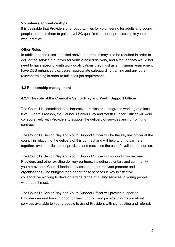#### Volunteers/apprenticeships

It is desirable that Providers offer opportunities for volunteering for adults and young people to enable them to gain Level 2/3 qualifications or apprenticeship in youth work practice.

#### Other Roles

In addition to the roles identified above, other roles may also be required in order to deliver the service e.g. driver for vehicle based delivery, and although they would not need to have specific youth work qualifications they must as a minimum requirement have DBS enhanced disclosure, appropriate safeguarding training and any other relevant training in order to fulfil their job requirement.

#### 4.2 Relationship management

#### 4.2.1 The role of the Council's Senior Play and Youth Support Officer

The Council is committed to collaborative practice and integrated working at a local level. For this reason, the Council's Senior Play and Youth Support Officer will work collaboratively with Providers to support the delivery of services arising from this contract.

The Council's Senior Play and Youth Support Officer will be the key link officer at the council in relation to the delivery of this contract and will help to bring partners together, avoid duplication of provision and maximise the use of available resources.

The Council's Senior Play and Youth Support Officer will support links between Providers and other existing delivery partners, including voluntary and community youth providers, Council funded services and other relevant partners and organisations. The bringing together of these services is key to effective collaborative working to develop a wide range of quality services to young people who need it most.

The Council's Senior Play and Youth Support Officer will provide support to Providers around training opportunities, funding, and provide information about services available to young people to assist Providers with signposting and referral.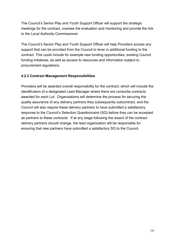The Council's Senior Play and Youth Support Officer will support the strategic meetings for the contract, oversee the evaluation and monitoring and provide the link to the Local Authority Commissioner.

The Council's Senior Play and Youth Support Officer will help Providers access any support that can be provided from the Council to lever in additional funding to the contract. This could include for example new funding opportunities, existing Council funding initiatives, as well as access to resources and information subject to procurement regulations.

#### 4.2.2 Contract Management Responsibilities

Providers will be awarded overall responsibility for the contract; which will include the identification of a designated Lead Manager where there are consortia contracts awarded for each Lot. Organisations will determine the process for securing the quality assurance of any delivery partners they subsequently subcontract, and the Council will also require these delivery partners to have submitted a satisfactory response to the Council's Selection Questionnaire (SQ) before they can be accepted as partners to these contracts. If at any stage following the award of the contract delivery partners should change, the lead organisation will be responsible for ensuring that new partners have submitted a satisfactory SQ to the Council.